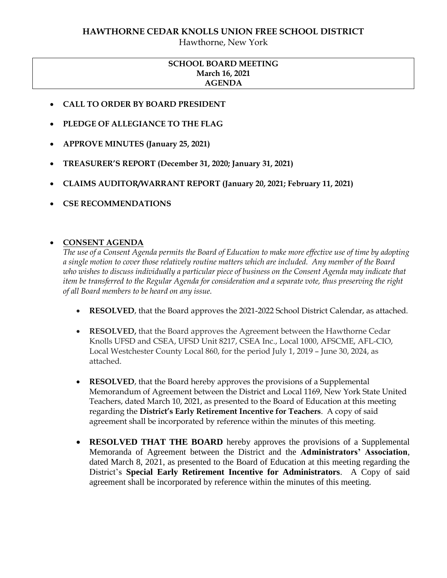# **HAWTHORNE CEDAR KNOLLS UNION FREE SCHOOL DISTRICT**

Hawthorne, New York

# **SCHOOL BOARD MEETING March 16, 2021 AGENDA**

- **CALL TO ORDER BY BOARD PRESIDENT**
- **PLEDGE OF ALLEGIANCE TO THE FLAG**
- **APPROVE MINUTES (January 25, 2021)**
- **TREASURER'S REPORT (December 31, 2020; January 31, 2021)**
- **CLAIMS AUDITOR/WARRANT REPORT (January 20, 2021; February 11, 2021)**
- **CSE RECOMMENDATIONS**

# **CONSENT AGENDA**

*The use of a Consent Agenda permits the Board of Education to make more effective use of time by adopting a single motion to cover those relatively routine matters which are included. Any member of the Board who wishes to discuss individually a particular piece of business on the Consent Agenda may indicate that item be transferred to the Regular Agenda for consideration and a separate vote, thus preserving the right of all Board members to be heard on any issue.* 

- **RESOLVED**, that the Board approves the 2021-2022 School District Calendar, as attached.
- **RESOLVED,** that the Board approves the Agreement between the Hawthorne Cedar Knolls UFSD and CSEA, UFSD Unit 8217, CSEA Inc., Local 1000, AFSCME, AFL-CIO, Local Westchester County Local 860, for the period July 1, 2019 – June 30, 2024, as attached.
- **RESOLVED**, that the Board hereby approves the provisions of a Supplemental Memorandum of Agreement between the District and Local 1169, New York State United Teachers, dated March 10, 2021, as presented to the Board of Education at this meeting regarding the **District's Early Retirement Incentive for Teachers**. A copy of said agreement shall be incorporated by reference within the minutes of this meeting.
- **RESOLVED THAT THE BOARD** hereby approves the provisions of a Supplemental Memoranda of Agreement between the District and the **Administrators' Association**, dated March 8, 2021, as presented to the Board of Education at this meeting regarding the District's **Special Early Retirement Incentive for Administrators**. A Copy of said agreement shall be incorporated by reference within the minutes of this meeting.